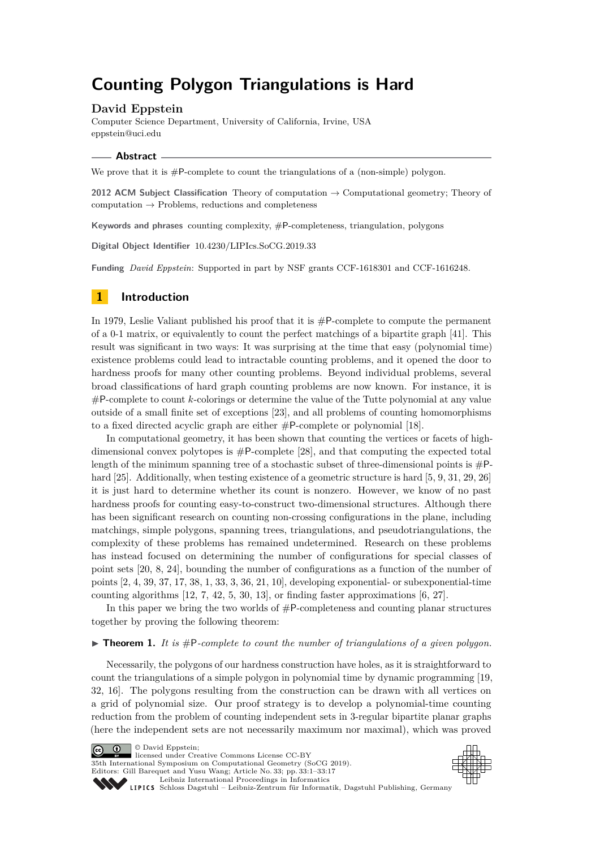# **Counting Polygon Triangulations is Hard**

## **David Eppstein**

Computer Science Department, University of California, Irvine, USA [eppstein@uci.edu](mailto:eppstein@uci.edu)

#### **Abstract**

We prove that it is  $#P$ -complete to count the triangulations of a (non-simple) polygon.

**2012 ACM Subject Classification** Theory of computation → Computational geometry; Theory of computation  $\rightarrow$  Problems, reductions and completeness

**Keywords and phrases** counting complexity, #P-completeness, triangulation, polygons

**Digital Object Identifier** [10.4230/LIPIcs.SoCG.2019.33](https://doi.org/10.4230/LIPIcs.SoCG.2019.33)

**Funding** *David Eppstein*: Supported in part by NSF grants CCF-1618301 and CCF-1616248.

# **1 Introduction**

In 1979, Leslie Valiant published his proof that it is  $\#P$ -complete to compute the permanent of a 0-1 matrix, or equivalently to count the perfect matchings of a bipartite graph [\[41\]](#page-16-0). This result was significant in two ways: It was surprising at the time that easy (polynomial time) existence problems could lead to intractable counting problems, and it opened the door to hardness proofs for many other counting problems. Beyond individual problems, several broad classifications of hard graph counting problems are now known. For instance, it is #P-complete to count *k*-colorings or determine the value of the Tutte polynomial at any value outside of a small finite set of exceptions [\[23\]](#page-15-0), and all problems of counting homomorphisms to a fixed directed acyclic graph are either  $#P$ -complete or polynomial [\[18\]](#page-14-0).

In computational geometry, it has been shown that counting the vertices or facets of highdimensional convex polytopes is #P-complete [\[28\]](#page-15-1), and that computing the expected total length of the minimum spanning tree of a stochastic subset of three-dimensional points is  $\#P$ -hard [\[25\]](#page-15-2). Additionally, when testing existence of a geometric structure is hard [\[5,](#page-14-1) [9,](#page-14-2) [31,](#page-15-3) [29,](#page-15-4) [26\]](#page-15-5) it is just hard to determine whether its count is nonzero. However, we know of no past hardness proofs for counting easy-to-construct two-dimensional structures. Although there has been significant research on counting non-crossing configurations in the plane, including matchings, simple polygons, spanning trees, triangulations, and pseudotriangulations, the complexity of these problems has remained undetermined. Research on these problems has instead focused on determining the number of configurations for special classes of point sets [\[20,](#page-14-3) [8,](#page-14-4) [24\]](#page-15-6), bounding the number of configurations as a function of the number of points [\[2,](#page-13-0) [4,](#page-14-5) [39,](#page-16-1) [37,](#page-15-7) [17,](#page-14-6) [38,](#page-15-8) [1,](#page-13-1) [33,](#page-15-9) [3,](#page-13-2) [36,](#page-15-10) [21,](#page-14-7) [10\]](#page-14-8), developing exponential- or subexponential-time counting algorithms  $[12, 7, 42, 5, 30, 13]$  $[12, 7, 42, 5, 30, 13]$  $[12, 7, 42, 5, 30, 13]$  $[12, 7, 42, 5, 30, 13]$  $[12, 7, 42, 5, 30, 13]$  $[12, 7, 42, 5, 30, 13]$ , or finding faster approximations  $[6, 27]$  $[6, 27]$ .

In this paper we bring the two worlds of  $\#P$ -completeness and counting planar structures together by proving the following theorem:

#### <span id="page-0-0"></span> $\triangleright$  **Theorem 1.** It is #P-complete to count the number of triangulations of a given polygon.

Necessarily, the polygons of our hardness construction have holes, as it is straightforward to count the triangulations of a simple polygon in polynomial time by dynamic programming [\[19,](#page-14-13) [32,](#page-15-13) [16\]](#page-14-14). The polygons resulting from the construction can be drawn with all vertices on a grid of polynomial size. Our proof strategy is to develop a polynomial-time counting reduction from the problem of counting independent sets in 3-regular bipartite planar graphs (here the independent sets are not necessarily maximum nor maximal), which was proved

© David Eppstein;  $\boxed{6}$  0

licensed under Creative Commons License CC-BY 35th International Symposium on Computational Geometry (SoCG 2019). Editors: Gill Barequet and Yusu Wang; Article No. 33; pp. 33:1–33[:17](#page-16-3)



[Leibniz International Proceedings in Informatics](https://www.dagstuhl.de/lipics/) SCHLOSS Dagstuhl – Leibniz-Zentrum für Informatik, Dagstuhl Publishing, Germany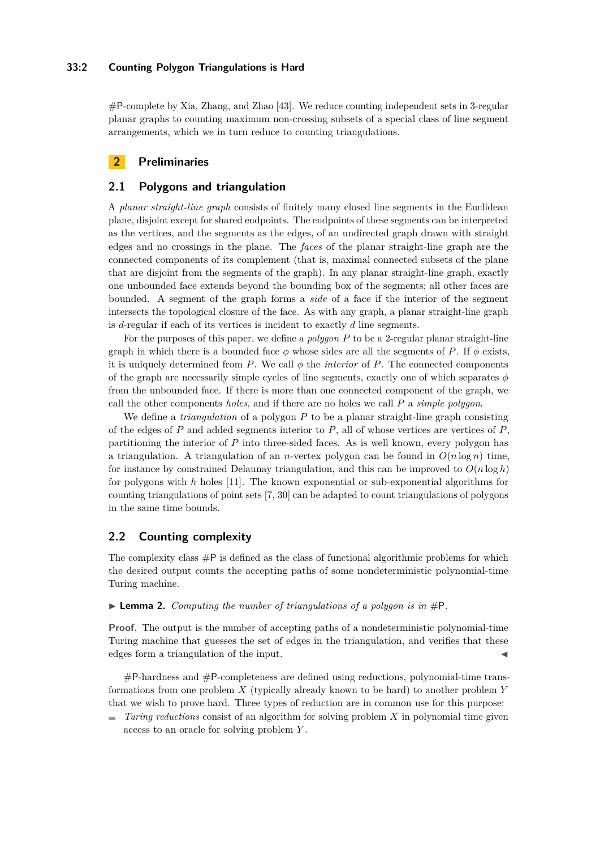#### **33:2 Counting Polygon Triangulations is Hard**

#P-complete by Xia, Zhang, and Zhao [\[43\]](#page-16-4). We reduce counting independent sets in 3-regular planar graphs to counting maximum non-crossing subsets of a special class of line segment arrangements, which we in turn reduce to counting triangulations.

# **2 Preliminaries**

## **2.1 Polygons and triangulation**

A *planar straight-line graph* consists of finitely many closed line segments in the Euclidean plane, disjoint except for shared endpoints. The endpoints of these segments can be interpreted as the vertices, and the segments as the edges, of an undirected graph drawn with straight edges and no crossings in the plane. The *faces* of the planar straight-line graph are the connected components of its complement (that is, maximal connected subsets of the plane that are disjoint from the segments of the graph). In any planar straight-line graph, exactly one unbounded face extends beyond the bounding box of the segments; all other faces are bounded. A segment of the graph forms a *side* of a face if the interior of the segment intersects the topological closure of the face. As with any graph, a planar straight-line graph is *d*-regular if each of its vertices is incident to exactly *d* line segments.

For the purposes of this paper, we define a *polygon P* to be a 2-regular planar straight-line graph in which there is a bounded face  $\phi$  whose sides are all the segments of *P*. If  $\phi$  exists, it is uniquely determined from *P*. We call  $\phi$  the *interior* of *P*. The connected components of the graph are necessarily simple cycles of line segments, exactly one of which separates *φ* from the unbounded face. If there is more than one connected component of the graph, we call the other components *holes*, and if there are no holes we call *P* a *simple polygon*.

We define a *triangulation* of a polygon P to be a planar straight-line graph consisting of the edges of *P* and added segments interior to *P*, all of whose vertices are vertices of *P*, partitioning the interior of *P* into three-sided faces. As is well known, every polygon has a triangulation. A triangulation of an *n*-vertex polygon can be found in  $O(n \log n)$  time, for instance by constrained Delaunay triangulation, and this can be improved to  $O(n \log h)$ for polygons with *h* holes [\[11\]](#page-14-15). The known exponential or sub-exponential algorithms for counting triangulations of point sets [\[7,](#page-14-10) [30\]](#page-15-11) can be adapted to count triangulations of polygons in the same time bounds.

# **2.2 Counting complexity**

The complexity class  $\#P$  is defined as the class of functional algorithmic problems for which the desired output counts the accepting paths of some nondeterministic polynomial-time Turing machine.

<span id="page-1-0"></span> $\blacktriangleright$  **Lemma 2.** *Computing the number of triangulations of a polygon is in*  $\#P$ *.* 

**Proof.** The output is the number of accepting paths of a nondeterministic polynomial-time Turing machine that guesses the set of edges in the triangulation, and verifies that these edges form a triangulation of the input.

 $#P$ -hardness and  $#P$ -completeness are defined using reductions, polynomial-time transformations from one problem *X* (typically already known to be hard) to another problem *Y* that we wish to prove hard. Three types of reduction are in common use for this purpose:

*Turing reductions* consist of an algorithm for solving problem *X* in polynomial time given access to an oracle for solving problem *Y* .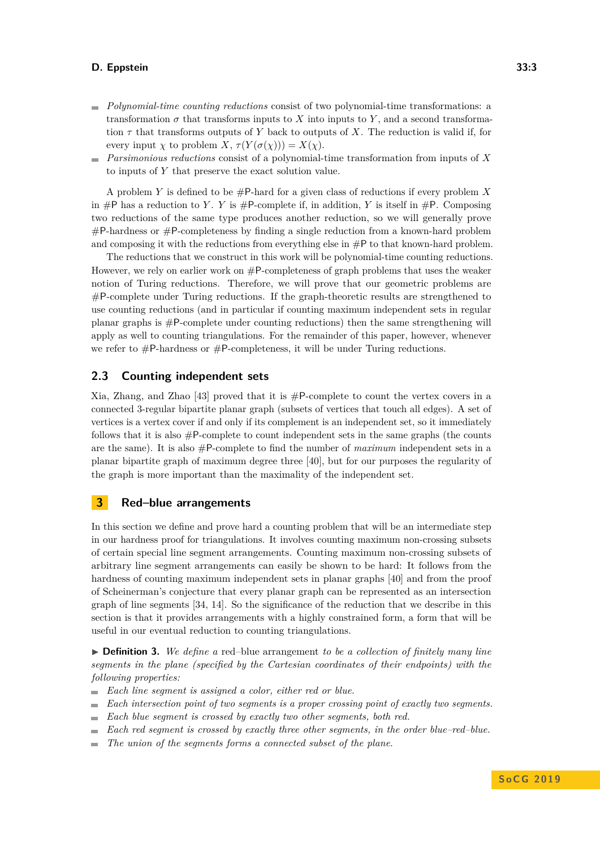- *Polynomial-time counting reductions* consist of two polynomial-time transformations: a transformation  $\sigma$  that transforms inputs to X into inputs to Y, and a second transformation  $\tau$  that transforms outputs of *Y* back to outputs of *X*. The reduction is valid if, for every input *χ* to problem *X*,  $\tau(Y(\sigma(\chi))) = X(\chi)$ .
- *Parsimonious reductions* consist of a polynomial-time transformation from inputs of *X*  $\mathbf{r}$ to inputs of *Y* that preserve the exact solution value.

A problem *Y* is defined to be #P-hard for a given class of reductions if every problem *X* in  $\#P$  has a reduction to *Y*. *Y* is  $\#P$ -complete if, in addition, *Y* is itself in  $\#P$ . Composing two reductions of the same type produces another reduction, so we will generally prove #P-hardness or #P-completeness by finding a single reduction from a known-hard problem and composing it with the reductions from everything else in  $\#P$  to that known-hard problem.

The reductions that we construct in this work will be polynomial-time counting reductions. However, we rely on earlier work on #P-completeness of graph problems that uses the weaker notion of Turing reductions. Therefore, we will prove that our geometric problems are  $#P$ -complete under Turing reductions. If the graph-theoretic results are strengthened to use counting reductions (and in particular if counting maximum independent sets in regular planar graphs is #P-complete under counting reductions) then the same strengthening will apply as well to counting triangulations. For the remainder of this paper, however, whenever we refer to  $\#P$ -hardness or  $\#P$ -completeness, it will be under Turing reductions.

## **2.3 Counting independent sets**

Xia, Zhang, and Zhao  $[43]$  proved that it is  $#P$ -complete to count the vertex covers in a connected 3-regular bipartite planar graph (subsets of vertices that touch all edges). A set of vertices is a vertex cover if and only if its complement is an independent set, so it immediately follows that it is also #P-complete to count independent sets in the same graphs (the counts are the same). It is also #P-complete to find the number of *maximum* independent sets in a planar bipartite graph of maximum degree three [\[40\]](#page-16-5), but for our purposes the regularity of the graph is more important than the maximality of the independent set.

# **3 Red–blue arrangements**

In this section we define and prove hard a counting problem that will be an intermediate step in our hardness proof for triangulations. It involves counting maximum non-crossing subsets of certain special line segment arrangements. Counting maximum non-crossing subsets of arbitrary line segment arrangements can easily be shown to be hard: It follows from the hardness of counting maximum independent sets in planar graphs [\[40\]](#page-16-5) and from the proof of Scheinerman's conjecture that every planar graph can be represented as an intersection graph of line segments [\[34,](#page-15-14) [14\]](#page-14-16). So the significance of the reduction that we describe in this section is that it provides arrangements with a highly constrained form, a form that will be useful in our eventual reduction to counting triangulations.

▶ **Definition 3.** We define a red–blue arrangement to be a collection of finitely many line *segments in the plane (specified by the Cartesian coordinates of their endpoints) with the following properties:*

- *Each line segment is assigned a color, either red or blue.*
- *Each intersection point of two segments is a proper crossing point of exactly two segments.*  $\sim$
- *Each blue segment is crossed by exactly two other segments, both red.*
- *Each red segment is crossed by exactly three other segments, in the order blue–red–blue.*  $\sim$
- *The union of the segments forms a connected subset of the plane.*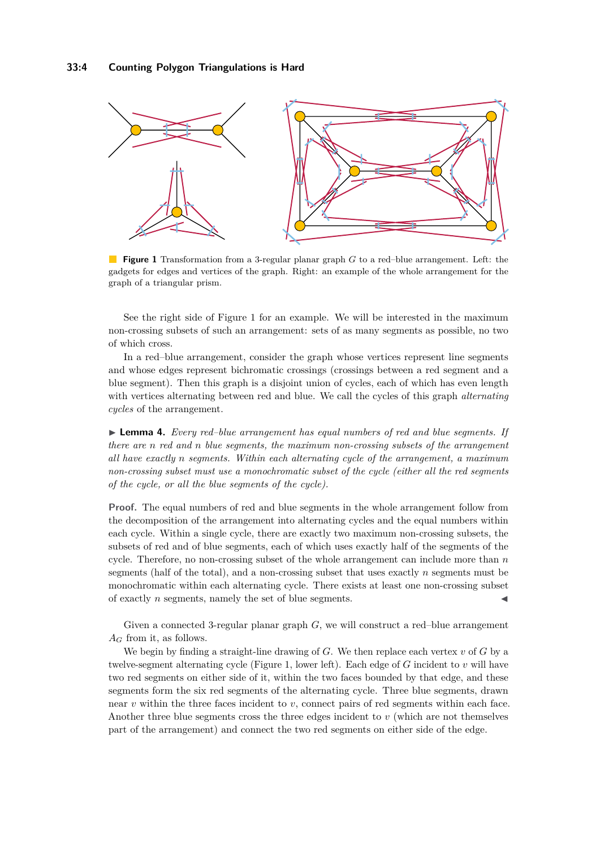<span id="page-3-0"></span>

**Figure 1** Transformation from a 3-regular planar graph *G* to a red–blue arrangement. Left: the gadgets for edges and vertices of the graph. Right: an example of the whole arrangement for the graph of a triangular prism.

See the right side of [Figure 1](#page-3-0) for an example. We will be interested in the maximum non-crossing subsets of such an arrangement: sets of as many segments as possible, no two of which cross.

In a red–blue arrangement, consider the graph whose vertices represent line segments and whose edges represent bichromatic crossings (crossings between a red segment and a blue segment). Then this graph is a disjoint union of cycles, each of which has even length with vertices alternating between red and blue. We call the cycles of this graph *alternating cycles* of the arrangement.

<span id="page-3-1"></span>▶ **Lemma 4.** *Every red–blue arrangement has equal numbers of red and blue segments. If there are n red and n blue segments, the maximum non-crossing subsets of the arrangement all have exactly n segments. Within each alternating cycle of the arrangement, a maximum non-crossing subset must use a monochromatic subset of the cycle (either all the red segments of the cycle, or all the blue segments of the cycle).*

**Proof.** The equal numbers of red and blue segments in the whole arrangement follow from the decomposition of the arrangement into alternating cycles and the equal numbers within each cycle. Within a single cycle, there are exactly two maximum non-crossing subsets, the subsets of red and of blue segments, each of which uses exactly half of the segments of the cycle. Therefore, no non-crossing subset of the whole arrangement can include more than *n* segments (half of the total), and a non-crossing subset that uses exactly *n* segments must be monochromatic within each alternating cycle. There exists at least one non-crossing subset of exactly *n* segments, namely the set of blue segments.

Given a connected 3-regular planar graph *G*, we will construct a red–blue arrangement *A<sup>G</sup>* from it, as follows.

We begin by finding a straight-line drawing of *G*. We then replace each vertex *v* of *G* by a twelve-segment alternating cycle [\(Figure 1,](#page-3-0) lower left). Each edge of *G* incident to *v* will have two red segments on either side of it, within the two faces bounded by that edge, and these segments form the six red segments of the alternating cycle. Three blue segments, drawn near *v* within the three faces incident to *v*, connect pairs of red segments within each face. Another three blue segments cross the three edges incident to *v* (which are not themselves part of the arrangement) and connect the two red segments on either side of the edge.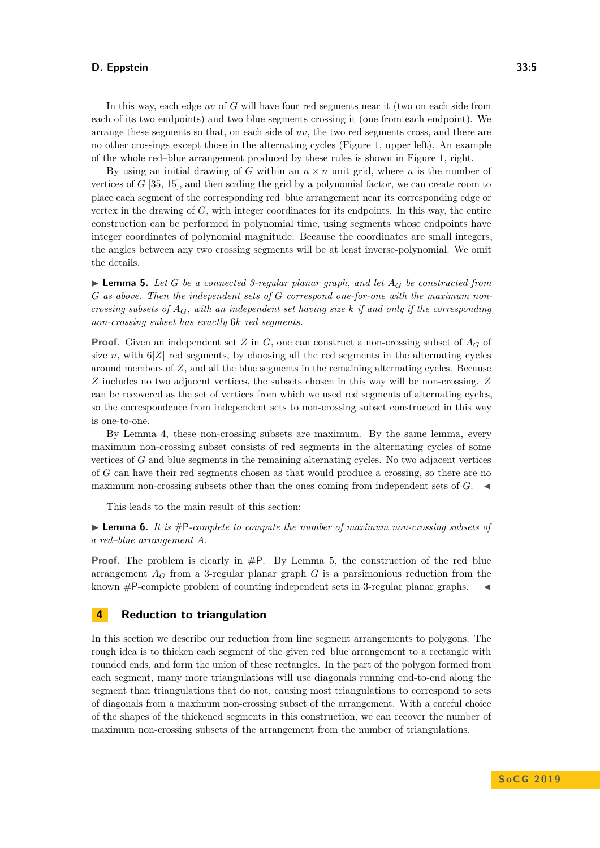In this way, each edge *uv* of *G* will have four red segments near it (two on each side from each of its two endpoints) and two blue segments crossing it (one from each endpoint). We arrange these segments so that, on each side of *uv*, the two red segments cross, and there are no other crossings except those in the alternating cycles [\(Figure 1,](#page-3-0) upper left). An example of the whole red–blue arrangement produced by these rules is shown in [Figure 1,](#page-3-0) right.

By using an initial drawing of *G* within an  $n \times n$  unit grid, where *n* is the number of vertices of *G* [\[35,](#page-15-15) [15\]](#page-14-17), and then scaling the grid by a polynomial factor, we can create room to place each segment of the corresponding red–blue arrangement near its corresponding edge or vertex in the drawing of *G*, with integer coordinates for its endpoints. In this way, the entire construction can be performed in polynomial time, using segments whose endpoints have integer coordinates of polynomial magnitude. Because the coordinates are small integers, the angles between any two crossing segments will be at least inverse-polynomial. We omit the details.

<span id="page-4-0"></span> $\blacktriangleright$  **Lemma 5.** Let *G* be a connected 3-regular planar graph, and let  $A_G$  be constructed from *G as above. Then the independent sets of G correspond one-for-one with the maximum noncrossing subsets of AG, with an independent set having size k if and only if the corresponding non-crossing subset has exactly* 6*k red segments.*

**Proof.** Given an independent set *Z* in *G*, one can construct a non-crossing subset of *A<sup>G</sup>* of size *n*, with  $6|Z|$  red segments, by choosing all the red segments in the alternating cycles around members of *Z*, and all the blue segments in the remaining alternating cycles. Because *Z* includes no two adjacent vertices, the subsets chosen in this way will be non-crossing. *Z* can be recovered as the set of vertices from which we used red segments of alternating cycles, so the correspondence from independent sets to non-crossing subset constructed in this way is one-to-one.

By [Lemma 4,](#page-3-1) these non-crossing subsets are maximum. By the same lemma, every maximum non-crossing subset consists of red segments in the alternating cycles of some vertices of *G* and blue segments in the remaining alternating cycles. No two adjacent vertices of *G* can have their red segments chosen as that would produce a crossing, so there are no maximum non-crossing subsets other than the ones coming from independent sets of  $G$ .

This leads to the main result of this section:

<span id="page-4-1"></span>► **Lemma 6.** *It is #P-complete to compute the number of maximum non-crossing subsets of a red–blue arrangement A.*

**Proof.** The problem is clearly in  $#P$ . By [Lemma 5,](#page-4-0) the construction of the red–blue arrangement  $A_G$  from a 3-regular planar graph  $G$  is a parsimonious reduction from the known #P-complete problem of counting independent sets in 3-regular planar graphs.

## **4 Reduction to triangulation**

In this section we describe our reduction from line segment arrangements to polygons. The rough idea is to thicken each segment of the given red–blue arrangement to a rectangle with rounded ends, and form the union of these rectangles. In the part of the polygon formed from each segment, many more triangulations will use diagonals running end-to-end along the segment than triangulations that do not, causing most triangulations to correspond to sets of diagonals from a maximum non-crossing subset of the arrangement. With a careful choice of the shapes of the thickened segments in this construction, we can recover the number of maximum non-crossing subsets of the arrangement from the number of triangulations.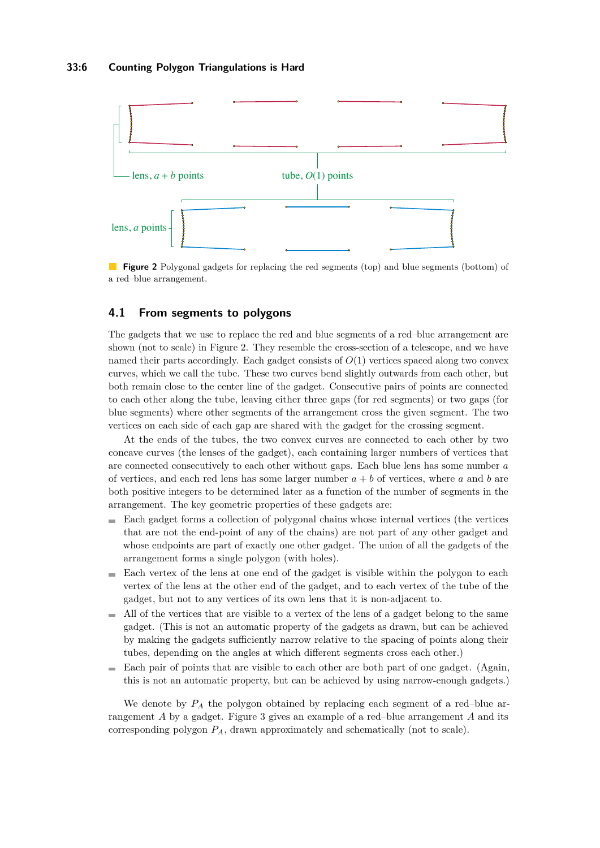<span id="page-5-0"></span>

**Figure 2** Polygonal gadgets for replacing the red segments (top) and blue segments (bottom) of a red–blue arrangement.

## **4.1 From segments to polygons**

The gadgets that we use to replace the red and blue segments of a red–blue arrangement are shown (not to scale) in [Figure 2.](#page-5-0) They resemble the cross-section of a telescope, and we have named their parts accordingly. Each gadget consists of *O*(1) vertices spaced along two convex curves, which we call the tube. These two curves bend slightly outwards from each other, but both remain close to the center line of the gadget. Consecutive pairs of points are connected to each other along the tube, leaving either three gaps (for red segments) or two gaps (for blue segments) where other segments of the arrangement cross the given segment. The two vertices on each side of each gap are shared with the gadget for the crossing segment.

At the ends of the tubes, the two convex curves are connected to each other by two concave curves (the lenses of the gadget), each containing larger numbers of vertices that are connected consecutively to each other without gaps. Each blue lens has some number *a* of vertices, and each red lens has some larger number  $a + b$  of vertices, where  $a$  and  $b$  are both positive integers to be determined later as a function of the number of segments in the arrangement. The key geometric properties of these gadgets are:

- Each gadget forms a collection of polygonal chains whose internal vertices (the vertices that are not the end-point of any of the chains) are not part of any other gadget and whose endpoints are part of exactly one other gadget. The union of all the gadgets of the arrangement forms a single polygon (with holes).
- Each vertex of the lens at one end of the gadget is visible within the polygon to each m. vertex of the lens at the other end of the gadget, and to each vertex of the tube of the gadget, but not to any vertices of its own lens that it is non-adjacent to.
- $\blacksquare$  All of the vertices that are visible to a vertex of the lens of a gadget belong to the same gadget. (This is not an automatic property of the gadgets as drawn, but can be achieved by making the gadgets sufficiently narrow relative to the spacing of points along their tubes, depending on the angles at which different segments cross each other.)
- Each pair of points that are visible to each other are both part of one gadget. (Again,  $\mathcal{L}_{\mathcal{A}}$ this is not an automatic property, but can be achieved by using narrow-enough gadgets.)

We denote by *P<sup>A</sup>* the polygon obtained by replacing each segment of a red–blue arrangement *A* by a gadget. [Figure 3](#page-6-0) gives an example of a red–blue arrangement *A* and its corresponding polygon *PA*, drawn approximately and schematically (not to scale).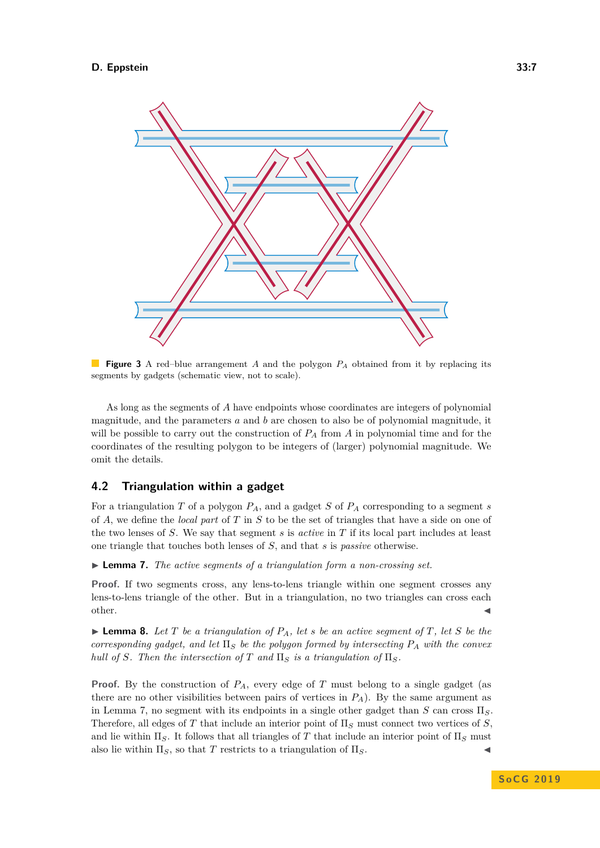<span id="page-6-0"></span>

**Figure 3** A red–blue arrangement *A* and the polygon *P<sup>A</sup>* obtained from it by replacing its segments by gadgets (schematic view, not to scale).

As long as the segments of *A* have endpoints whose coordinates are integers of polynomial magnitude, and the parameters *a* and *b* are chosen to also be of polynomial magnitude, it will be possible to carry out the construction of *P<sup>A</sup>* from *A* in polynomial time and for the coordinates of the resulting polygon to be integers of (larger) polynomial magnitude. We omit the details.

## **4.2 Triangulation within a gadget**

For a triangulation *T* of a polygon *PA*, and a gadget *S* of *P<sup>A</sup>* corresponding to a segment *s* of *A*, we define the *local part* of *T* in *S* to be the set of triangles that have a side on one of the two lenses of *S*. We say that segment *s* is *active* in *T* if its local part includes at least one triangle that touches both lenses of *S*, and that *s* is *passive* otherwise.

<span id="page-6-1"></span>▶ **Lemma 7.** *The active segments of a triangulation form a non-crossing set.* 

**Proof.** If two segments cross, any lens-to-lens triangle within one segment crosses any lens-to-lens triangle of the other. But in a triangulation, no two triangles can cross each  $\bullet$  other.

<span id="page-6-2"></span> $\blacktriangleright$  **Lemma 8.** Let T be a triangulation of  $P_A$ , let s be an active segment of T, let S be the *corresponding gadget, and let* Π*<sup>S</sup> be the polygon formed by intersecting P<sup>A</sup> with the convex hull of S. Then the intersection of T and*  $\Pi_S$  *is a triangulation of*  $\Pi_S$ *.* 

**Proof.** By the construction of  $P_A$ , every edge of *T* must belong to a single gadget (as there are no other visibilities between pairs of vertices in  $P_A$ ). By the same argument as in [Lemma 7,](#page-6-1) no segment with its endpoints in a single other gadget than  $S$  can cross  $\Pi_S$ . Therefore, all edges of *T* that include an interior point of Π*<sup>S</sup>* must connect two vertices of *S*, and lie within  $\Pi_S$ . It follows that all triangles of *T* that include an interior point of  $\Pi_S$  must also lie within  $\Pi_S$ , so that *T* restricts to a triangulation of  $\Pi_S$ .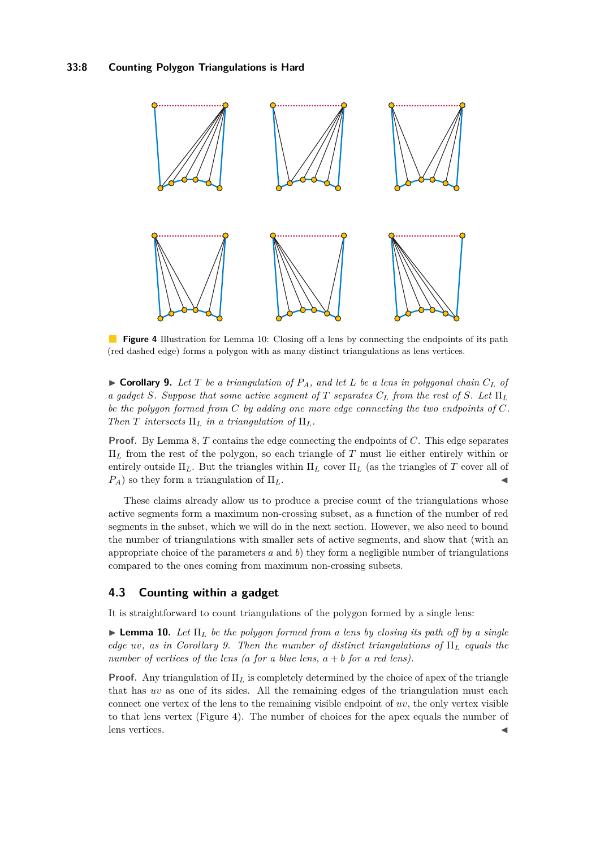<span id="page-7-2"></span>

**Figure 4** Illustration for [Lemma 10:](#page-7-0) Closing off a lens by connecting the endpoints of its path (red dashed edge) forms a polygon with as many distinct triangulations as lens vertices.

<span id="page-7-1"></span> $\triangleright$  **Corollary 9.** Let T be a triangulation of  $P_A$ , and let L be a lens in polygonal chain  $C_L$  of *a gadget S. Suppose that some active segment of T separates C<sup>L</sup> from the rest of S. Let* Π*<sup>L</sup> be the polygon formed from C by adding one more edge connecting the two endpoints of C. Then T intersects*  $\Pi_L$  *in a triangulation of*  $\Pi_L$ *.* 

**Proof.** By [Lemma 8,](#page-6-2) *T* contains the edge connecting the endpoints of *C*. This edge separates Π*<sup>L</sup>* from the rest of the polygon, so each triangle of *T* must lie either entirely within or entirely outside Π*L*. But the triangles within Π*<sup>L</sup>* cover Π*<sup>L</sup>* (as the triangles of *T* cover all of  $P_A$ ) so they form a triangulation of  $\Pi_L$ .

These claims already allow us to produce a precise count of the triangulations whose active segments form a maximum non-crossing subset, as a function of the number of red segments in the subset, which we will do in the next section. However, we also need to bound the number of triangulations with smaller sets of active segments, and show that (with an appropriate choice of the parameters *a* and *b*) they form a negligible number of triangulations compared to the ones coming from maximum non-crossing subsets.

# **4.3 Counting within a gadget**

It is straightforward to count triangulations of the polygon formed by a single lens:

<span id="page-7-0"></span> $\blacktriangleright$  **Lemma 10.** Let  $\Pi_L$  be the polygon formed from a lens by closing its path off by a single *edge uv*, as in [Corollary 9.](#page-7-1) Then the number of distinct triangulations of  $\Pi_L$  *equals the number of vertices of the lens (a for a blue lens,*  $a + b$  *for a red lens).* 

**Proof.** Any triangulation of  $\Pi_L$  is completely determined by the choice of apex of the triangle that has *uv* as one of its sides. All the remaining edges of the triangulation must each connect one vertex of the lens to the remaining visible endpoint of *uv*, the only vertex visible to that lens vertex [\(Figure 4\)](#page-7-2). The number of choices for the apex equals the number of lens vertices.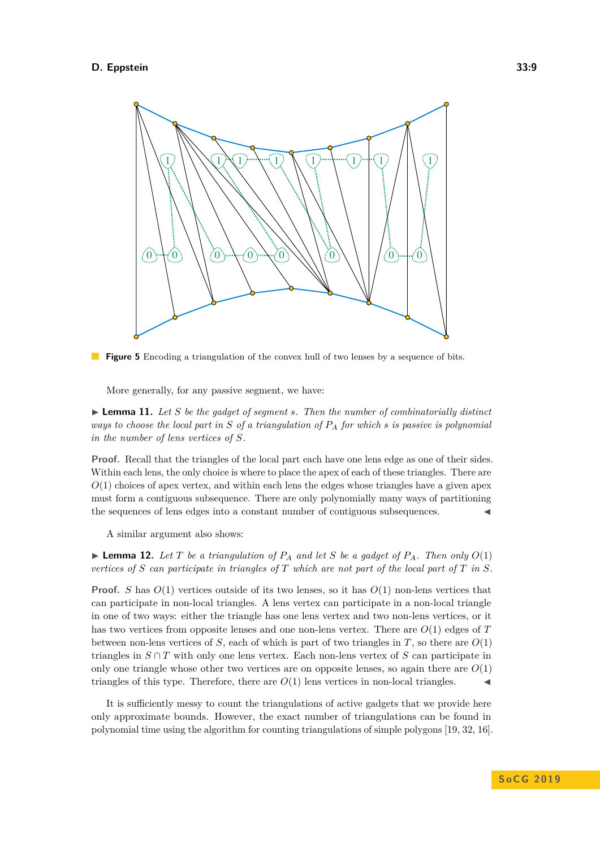<span id="page-8-0"></span>

**Figure 5** Encoding a triangulation of the convex hull of two lenses by a sequence of bits.

More generally, for any passive segment, we have:

 $\blacktriangleright$  **Lemma 11.** Let *S* be the gadget of segment *s*. Then the number of combinatorially distinct *ways to choose the local part in S of a triangulation of P<sup>A</sup> for which s is passive is polynomial in the number of lens vertices of S.*

**Proof.** Recall that the triangles of the local part each have one lens edge as one of their sides. Within each lens, the only choice is where to place the apex of each of these triangles. There are  $O(1)$  choices of apex vertex, and within each lens the edges whose triangles have a given apex must form a contiguous subsequence. There are only polynomially many ways of partitioning the sequences of lens edges into a constant number of contiguous subsequences.

A similar argument also shows:

<span id="page-8-1"></span> $\blacktriangleright$  **Lemma 12.** Let *T* be a triangulation of  $P_A$  and let *S* be a gadget of  $P_A$ *. Then only*  $O(1)$ *vertices of S can participate in triangles of T which are not part of the local part of T in S.*

**Proof.** *S* has *O*(1) vertices outside of its two lenses, so it has *O*(1) non-lens vertices that can participate in non-local triangles. A lens vertex can participate in a non-local triangle in one of two ways: either the triangle has one lens vertex and two non-lens vertices, or it has two vertices from opposite lenses and one non-lens vertex. There are *O*(1) edges of *T* between non-lens vertices of *S*, each of which is part of two triangles in  $T$ , so there are  $O(1)$ triangles in  $S \cap T$  with only one lens vertex. Each non-lens vertex of *S* can participate in only one triangle whose other two vertices are on opposite lenses, so again there are  $O(1)$ triangles of this type. Therefore, there are  $O(1)$  lens vertices in non-local triangles.

It is sufficiently messy to count the triangulations of active gadgets that we provide here only approximate bounds. However, the exact number of triangulations can be found in polynomial time using the algorithm for counting triangulations of simple polygons [\[19,](#page-14-13) [32,](#page-15-13) [16\]](#page-14-14).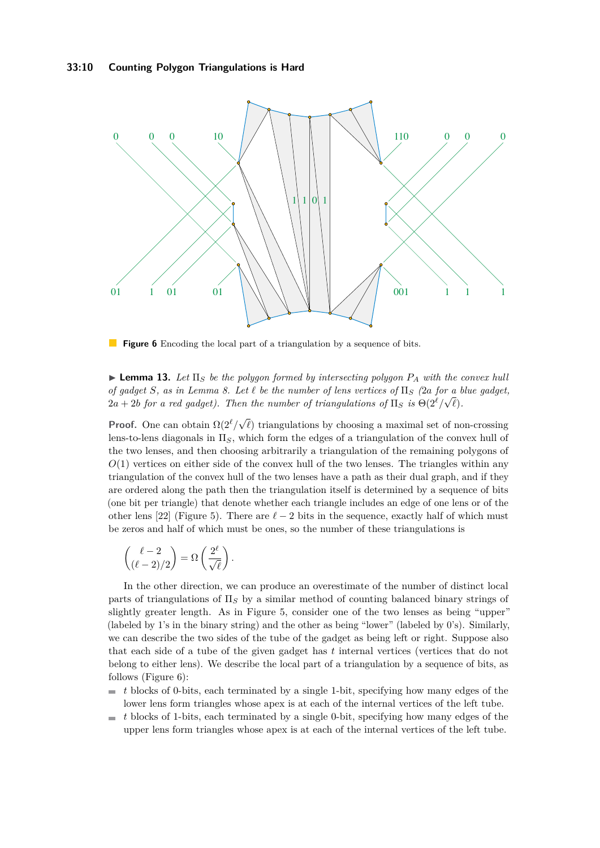<span id="page-9-0"></span>

**Figure 6** Encoding the local part of a triangulation by a sequence of bits.

<span id="page-9-1"></span> $\blacktriangleright$  **Lemma 13.** Let  $\Pi_S$  be the polygon formed by intersecting polygon  $P_A$  with the convex hull *of gadget S*, as in [Lemma 8.](#page-6-2) Let  $\ell$  be the number of lens vertices of  $\Pi_S$  (2*a for a blue gadget,*  $2a + 2b$  *for a red gadget*). Then the number of triangulations of  $\Pi_S$  *is*  $\Theta(2^{\ell}/\sqrt{\ell})$ .

**Proof.** One can obtain  $\Omega(2^{\ell}/\sqrt{\epsilon})$  $\ell$ ) triangulations by choosing a maximal set of non-crossing lens-to-lens diagonals in Π*S*, which form the edges of a triangulation of the convex hull of the two lenses, and then choosing arbitrarily a triangulation of the remaining polygons of  $O(1)$  vertices on either side of the convex hull of the two lenses. The triangles within any triangulation of the convex hull of the two lenses have a path as their dual graph, and if they are ordered along the path then the triangulation itself is determined by a sequence of bits (one bit per triangle) that denote whether each triangle includes an edge of one lens or of the other lens [\[22\]](#page-14-18) [\(Figure 5\)](#page-8-0). There are  $\ell - 2$  bits in the sequence, exactly half of which must be zeros and half of which must be ones, so the number of these triangulations is

$$
\binom{\ell-2}{(\ell-2)/2} = \Omega\left(\frac{2^{\ell}}{\sqrt{\ell}}\right).
$$

In the other direction, we can produce an overestimate of the number of distinct local parts of triangulations of Π*<sup>S</sup>* by a similar method of counting balanced binary strings of slightly greater length. As in [Figure 5,](#page-8-0) consider one of the two lenses as being "upper" (labeled by 1's in the binary string) and the other as being "lower" (labeled by 0's). Similarly, we can describe the two sides of the tube of the gadget as being left or right. Suppose also that each side of a tube of the given gadget has *t* internal vertices (vertices that do not belong to either lens). We describe the local part of a triangulation by a sequence of bits, as follows [\(Figure 6\)](#page-9-0):

- $\bullet$  *t* blocks of 0-bits, each terminated by a single 1-bit, specifying how many edges of the lower lens form triangles whose apex is at each of the internal vertices of the left tube.
- *t* blocks of 1-bits, each terminated by a single 0-bit, specifying how many edges of the m. upper lens form triangles whose apex is at each of the internal vertices of the left tube.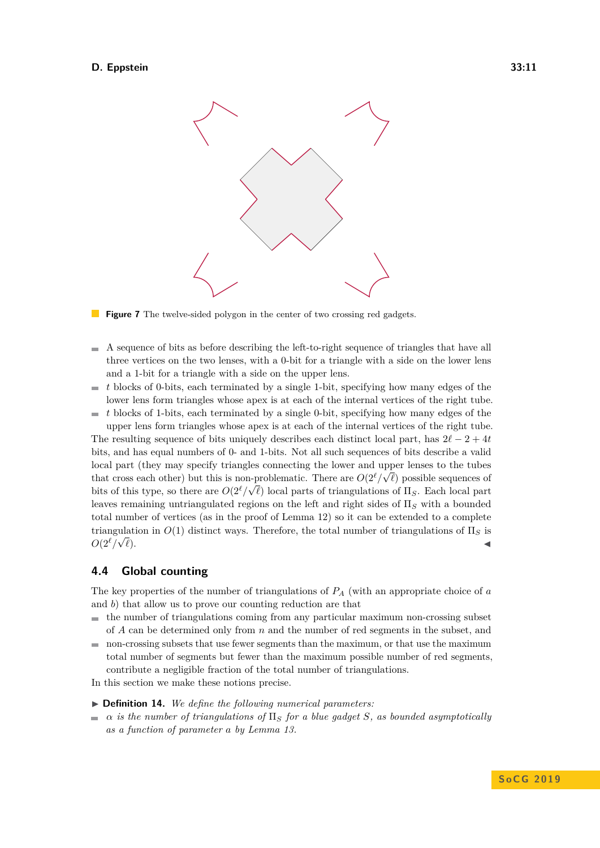<span id="page-10-0"></span>

 $\mathcal{L}(\mathcal{A})$ **Figure 7** The twelve-sided polygon in the center of two crossing red gadgets.

- $\blacksquare$  A sequence of bits as before describing the left-to-right sequence of triangles that have all three vertices on the two lenses, with a 0-bit for a triangle with a side on the lower lens and a 1-bit for a triangle with a side on the upper lens.
- $\bullet$  *t* blocks of 0-bits, each terminated by a single 1-bit, specifying how many edges of the lower lens form triangles whose apex is at each of the internal vertices of the right tube.
- *t* blocks of 1-bits, each terminated by a single 0-bit, specifying how many edges of the  $\mathbf{r}$ upper lens form triangles whose apex is at each of the internal vertices of the right tube. The resulting sequence of bits uniquely describes each distinct local part, has  $2\ell - 2 + 4t$ bits, and has equal numbers of 0- and 1-bits. Not all such sequences of bits describe a valid local part (they may specify triangles connecting the lower and upper lenses to the tubes that cross each other) but this is non-problematic. There are  $O(2^{\ell}/\sqrt{\ell})$  possible sequences of bits of this type, so there are  $O(2^{\ell}/\sqrt{\ell})$  local parts of triangulations of  $\Pi_S$ . Each local part leaves remaining untriangulated regions on the left and right sides of Π*<sup>S</sup>* with a bounded total number of vertices (as in the proof of [Lemma 12\)](#page-8-1) so it can be extended to a complete triangulation in  $O(1)$  distinct ways. Therefore, the total number of triangulations of  $\Pi_S$  is  $\overline{\ell}$ ).  $O(2^{\ell}/\sqrt{\ell}).$

## **4.4 Global counting**

The key properties of the number of triangulations of *P<sup>A</sup>* (with an appropriate choice of *a* and *b*) that allow us to prove our counting reduction are that

- $\blacksquare$  the number of triangulations coming from any particular maximum non-crossing subset of *A* can be determined only from *n* and the number of red segments in the subset, and
- non-crossing subsets that use fewer segments than the maximum, or that use the maximum  $\blacksquare$ total number of segments but fewer than the maximum possible number of red segments, contribute a negligible fraction of the total number of triangulations.
- In this section we make these notions precise.

#### ▶ **Definition 14.** *We define the following numerical parameters:*

 $\alpha$  *is the number of triangulations of*  $\Pi_S$  *for a blue gadget S, as bounded asymptotically as a function of parameter a by [Lemma 13.](#page-9-1)*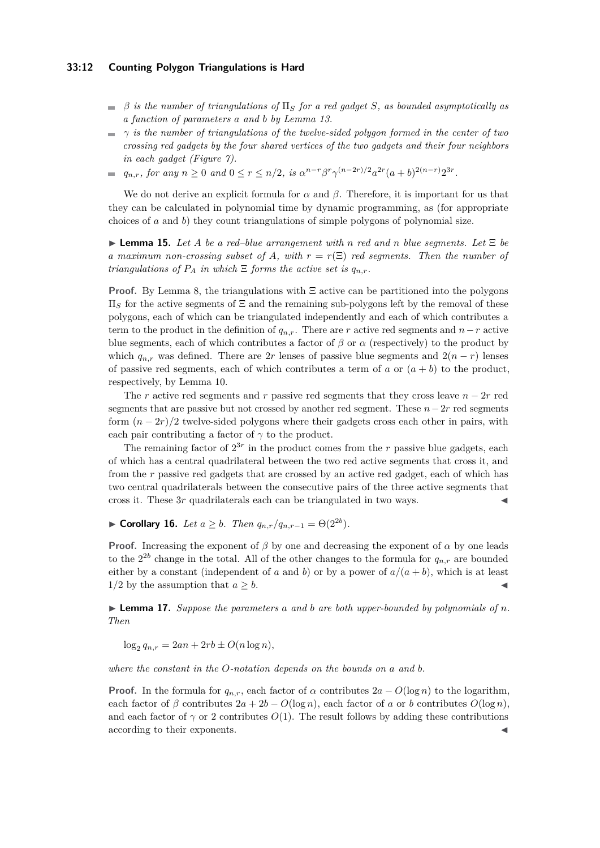#### **33:12 Counting Polygon Triangulations is Hard**

- $\mathcal{B}$  *is the number of triangulations of*  $\Pi_S$  *for a red gadget S, as bounded asymptotically as a function of parameters a and b by [Lemma 13.](#page-9-1)*
- *γ is the number of triangulations of the twelve-sided polygon formed in the center of two* a. *crossing red gadgets by the four shared vertices of the two gadgets and their four neighbors in each gadget [\(Figure 7\)](#page-10-0).*
- $q_{n,r}$ , for any  $n \ge 0$  and  $0 \le r \le n/2$ , is  $\alpha^{n-r} \beta^r \gamma^{(n-2r)/2} a^{2r} (a+b)^{2(n-r)} 2^{3r}$ .

We do not derive an explicit formula for  $\alpha$  and  $\beta$ . Therefore, it is important for us that they can be calculated in polynomial time by dynamic programming, as (for appropriate choices of *a* and *b*) they count triangulations of simple polygons of polynomial size.

 $\blacktriangleright$  **Lemma 15.** Let A be a red–blue arrangement with *n* red and *n* blue segments. Let  $\Xi$  be *a maximum non-crossing subset of A, with r* = *r*(Ξ) *red segments. Then the number of triangulations of*  $P_A$  *in which*  $\Xi$  *forms the active set is*  $q_{n,r}$ *.* 

**Proof.** By [Lemma 8,](#page-6-2) the triangulations with  $\Xi$  active can be partitioned into the polygons  $\Pi_S$  for the active segments of  $\Xi$  and the remaining sub-polygons left by the removal of these polygons, each of which can be triangulated independently and each of which contributes a term to the product in the definition of  $q_{n,r}$ . There are *r* active red segments and  $n-r$  active blue segments, each of which contributes a factor of  $\beta$  or  $\alpha$  (respectively) to the product by which  $q_{n,r}$  was defined. There are 2*r* lenses of passive blue segments and  $2(n - r)$  lenses of passive red segments, each of which contributes a term of  $a$  or  $(a + b)$  to the product, respectively, by [Lemma 10.](#page-7-0)

The *r* active red segments and *r* passive red segments that they cross leave *n* − 2*r* red segments that are passive but not crossed by another red segment. These *n*−2*r* red segments form  $(n - 2r)/2$  twelve-sided polygons where their gadgets cross each other in pairs, with each pair contributing a factor of  $\gamma$  to the product.

The remaining factor of  $2^{3r}$  in the product comes from the *r* passive blue gadgets, each of which has a central quadrilateral between the two red active segments that cross it, and from the *r* passive red gadgets that are crossed by an active red gadget, each of which has two central quadrilaterals between the consecutive pairs of the three active segments that cross it. These  $3r$  quadrilaterals each can be triangulated in two ways.

<span id="page-11-0"></span>▶ **Corollary 16.** *Let*  $a \geq b$ *. Then*  $q_{n,r}/q_{n,r-1} = \Theta(2^{2b})$ *.* 

**Proof.** Increasing the exponent of  $\beta$  by one and decreasing the exponent of  $\alpha$  by one leads to the  $2^{2b}$  change in the total. All of the other changes to the formula for  $q_{n,r}$  are bounded either by a constant (independent of *a* and *b*) or by a power of  $a/(a + b)$ , which is at least 1/2 by the assumption that  $a \geq b$ .

<span id="page-11-1"></span> $\blacktriangleright$  **Lemma 17.** *Suppose the parameters a and b are both upper-bounded by polynomials of <i>n*. *Then*

 $\log_2 q_{n,r} = 2an + 2rb \pm O(n \log n),$ 

*where the constant in the O-notation depends on the bounds on a and b.*

**Proof.** In the formula for  $q_{n,r}$ , each factor of  $\alpha$  contributes  $2a - O(\log n)$  to the logarithm, each factor of *β* contributes  $2a + 2b - O(\log n)$ , each factor of *a* or *b* contributes  $O(\log n)$ , and each factor of  $\gamma$  or 2 contributes  $O(1)$ . The result follows by adding these contributions according to their exponents.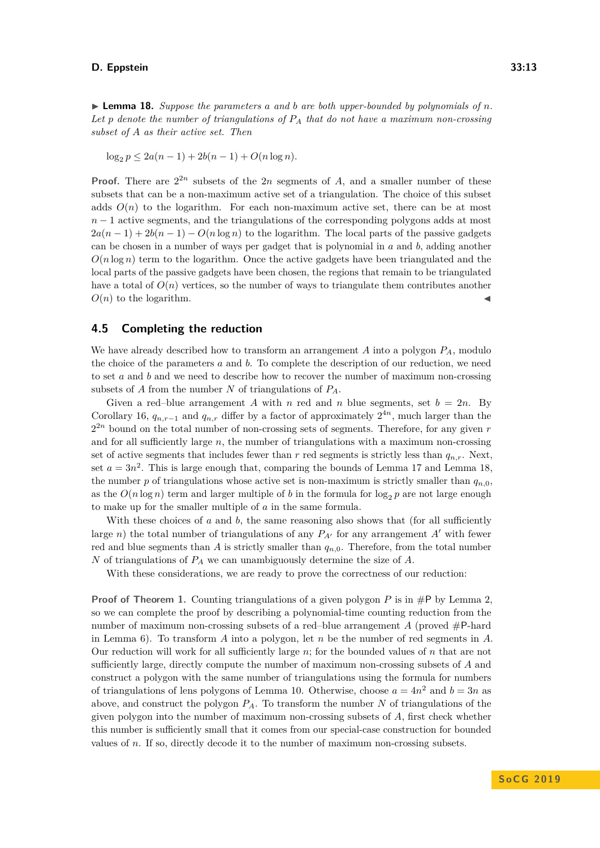<span id="page-12-0"></span> $\triangleright$  **Lemma 18.** *Suppose the parameters a and b are both upper-bounded by polynomials of <i>n*. *Let p denote the number of triangulations of P<sup>A</sup> that do not have a maximum non-crossing subset of A as their active set. Then*

$$
\log_2 p \le 2a(n-1) + 2b(n-1) + O(n \log n).
$$

**Proof.** There are  $2^{2n}$  subsets of the 2*n* segments of *A*, and a smaller number of these subsets that can be a non-maximum active set of a triangulation. The choice of this subset adds  $O(n)$  to the logarithm. For each non-maximum active set, there can be at most *n* − 1 active segments, and the triangulations of the corresponding polygons adds at most  $2a(n-1) + 2b(n-1) - O(n \log n)$  to the logarithm. The local parts of the passive gadgets can be chosen in a number of ways per gadget that is polynomial in *a* and *b*, adding another  $O(n \log n)$  term to the logarithm. Once the active gadgets have been triangulated and the local parts of the passive gadgets have been chosen, the regions that remain to be triangulated have a total of  $O(n)$  vertices, so the number of ways to triangulate them contributes another  $O(n)$  to the logarithm.

## **4.5 Completing the reduction**

We have already described how to transform an arrangement *A* into a polygon *PA*, modulo the choice of the parameters *a* and *b*. To complete the description of our reduction, we need to set *a* and *b* and we need to describe how to recover the number of maximum non-crossing subsets of *A* from the number *N* of triangulations of *PA*.

Given a red–blue arrangement A with n red and n blue segments, set  $b = 2n$ . By [Corollary 16,](#page-11-0)  $q_{n,r-1}$  and  $q_{n,r}$  differ by a factor of approximately  $2^{4n}$ , much larger than the  $2^{2n}$  bound on the total number of non-crossing sets of segments. Therefore, for any given  $r$ and for all sufficiently large *n*, the number of triangulations with a maximum non-crossing set of active segments that includes fewer than  $r$  red segments is strictly less than  $q_{n,r}$ . Next, set  $a = 3n^2$ . This is large enough that, comparing the bounds of [Lemma 17](#page-11-1) and [Lemma 18,](#page-12-0) the number  $p$  of triangulations whose active set is non-maximum is strictly smaller than  $q_{n,0}$ . as the  $O(n \log n)$  term and larger multiple of *b* in the formula for  $\log_2 p$  are not large enough to make up for the smaller multiple of *a* in the same formula.

With these choices of  $a$  and  $b$ , the same reasoning also shows that (for all sufficiently large *n*) the total number of triangulations of any  $P_{A}$  for any arrangement *A'* with fewer red and blue segments than *A* is strictly smaller than  $q_{n,0}$ . Therefore, from the total number *N* of triangulations of *P<sup>A</sup>* we can unambiguously determine the size of *A*.

With these considerations, we are ready to prove the correctness of our reduction:

**Proof of [Theorem 1.](#page-0-0)** Counting triangulations of a given polygon *P* is in  $#P$  by Lemma 2. so we can complete the proof by describing a polynomial-time counting reduction from the number of maximum non-crossing subsets of a red–blue arrangement A (proved #P-hard in [Lemma 6\)](#page-4-1). To transform *A* into a polygon, let *n* be the number of red segments in *A*. Our reduction will work for all sufficiently large *n*; for the bounded values of *n* that are not sufficiently large, directly compute the number of maximum non-crossing subsets of *A* and construct a polygon with the same number of triangulations using the formula for numbers of triangulations of lens polygons of [Lemma 10.](#page-7-0) Otherwise, choose  $a = 4n^2$  and  $b = 3n$  as above, and construct the polygon *PA*. To transform the number *N* of triangulations of the given polygon into the number of maximum non-crossing subsets of *A*, first check whether this number is sufficiently small that it comes from our special-case construction for bounded values of *n*. If so, directly decode it to the number of maximum non-crossing subsets.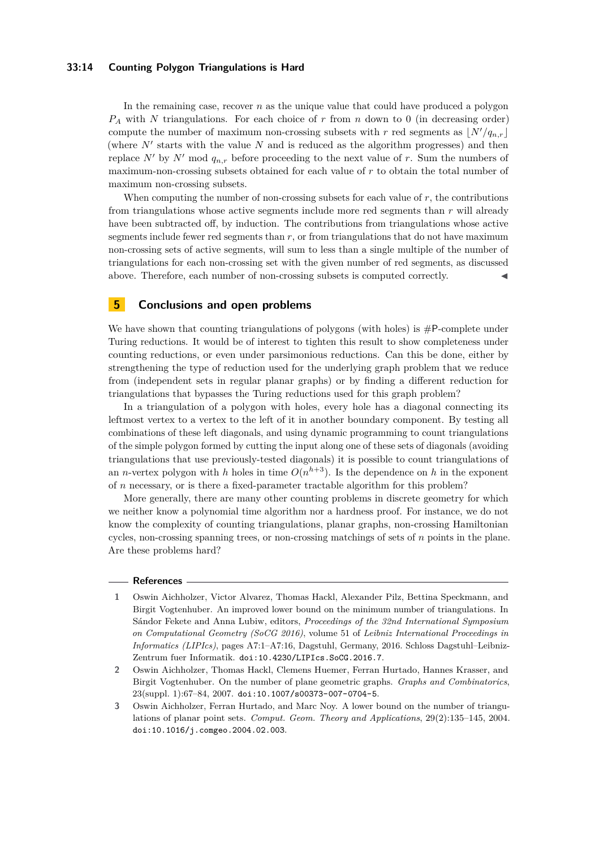#### **33:14 Counting Polygon Triangulations is Hard**

In the remaining case, recover *n* as the unique value that could have produced a polygon *P<sup>A</sup>* with *N* triangulations. For each choice of *r* from *n* down to 0 (in decreasing order) compute the number of maximum non-crossing subsets with *r* red segments as  $N'/q_{n,r}$ (where  $N'$  starts with the value  $N$  and is reduced as the algorithm progresses) and then replace  $N'$  by  $N'$  mod  $q_{n,r}$  before proceeding to the next value of *r*. Sum the numbers of maximum-non-crossing subsets obtained for each value of *r* to obtain the total number of maximum non-crossing subsets.

When computing the number of non-crossing subsets for each value of *r*, the contributions from triangulations whose active segments include more red segments than *r* will already have been subtracted off, by induction. The contributions from triangulations whose active segments include fewer red segments than *r*, or from triangulations that do not have maximum non-crossing sets of active segments, will sum to less than a single multiple of the number of triangulations for each non-crossing set with the given number of red segments, as discussed above. Therefore, each number of non-crossing subsets is computed correctly.

# **5 Conclusions and open problems**

We have shown that counting triangulations of polygons (with holes) is  $\#P$ -complete under Turing reductions. It would be of interest to tighten this result to show completeness under counting reductions, or even under parsimonious reductions. Can this be done, either by strengthening the type of reduction used for the underlying graph problem that we reduce from (independent sets in regular planar graphs) or by finding a different reduction for triangulations that bypasses the Turing reductions used for this graph problem?

In a triangulation of a polygon with holes, every hole has a diagonal connecting its leftmost vertex to a vertex to the left of it in another boundary component. By testing all combinations of these left diagonals, and using dynamic programming to count triangulations of the simple polygon formed by cutting the input along one of these sets of diagonals (avoiding triangulations that use previously-tested diagonals) it is possible to count triangulations of an *n*-vertex polygon with *h* holes in time  $O(n^{h+3})$ . Is the dependence on *h* in the exponent of *n* necessary, or is there a fixed-parameter tractable algorithm for this problem?

More generally, there are many other counting problems in discrete geometry for which we neither know a polynomial time algorithm nor a hardness proof. For instance, we do not know the complexity of counting triangulations, planar graphs, non-crossing Hamiltonian cycles, non-crossing spanning trees, or non-crossing matchings of sets of *n* points in the plane. Are these problems hard?

#### **References**

- <span id="page-13-1"></span>**1** Oswin Aichholzer, Victor Alvarez, Thomas Hackl, Alexander Pilz, Bettina Speckmann, and Birgit Vogtenhuber. An improved lower bound on the minimum number of triangulations. In Sándor Fekete and Anna Lubiw, editors, *Proceedings of the 32nd International Symposium on Computational Geometry (SoCG 2016)*, volume 51 of *Leibniz International Proceedings in Informatics (LIPIcs)*, pages A7:1–A7:16, Dagstuhl, Germany, 2016. Schloss Dagstuhl–Leibniz-Zentrum fuer Informatik. [doi:10.4230/LIPIcs.SoCG.2016.7](http://dx.doi.org/10.4230/LIPIcs.SoCG.2016.7).
- <span id="page-13-0"></span>**2** Oswin Aichholzer, Thomas Hackl, Clemens Huemer, Ferran Hurtado, Hannes Krasser, and Birgit Vogtenhuber. On the number of plane geometric graphs. *Graphs and Combinatorics*, 23(suppl. 1):67–84, 2007. [doi:10.1007/s00373-007-0704-5](http://dx.doi.org/10.1007/s00373-007-0704-5).
- <span id="page-13-2"></span>**3** Oswin Aichholzer, Ferran Hurtado, and Marc Noy. A lower bound on the number of triangulations of planar point sets. *Comput. Geom. Theory and Applications*, 29(2):135–145, 2004. [doi:10.1016/j.comgeo.2004.02.003](http://dx.doi.org/10.1016/j.comgeo.2004.02.003).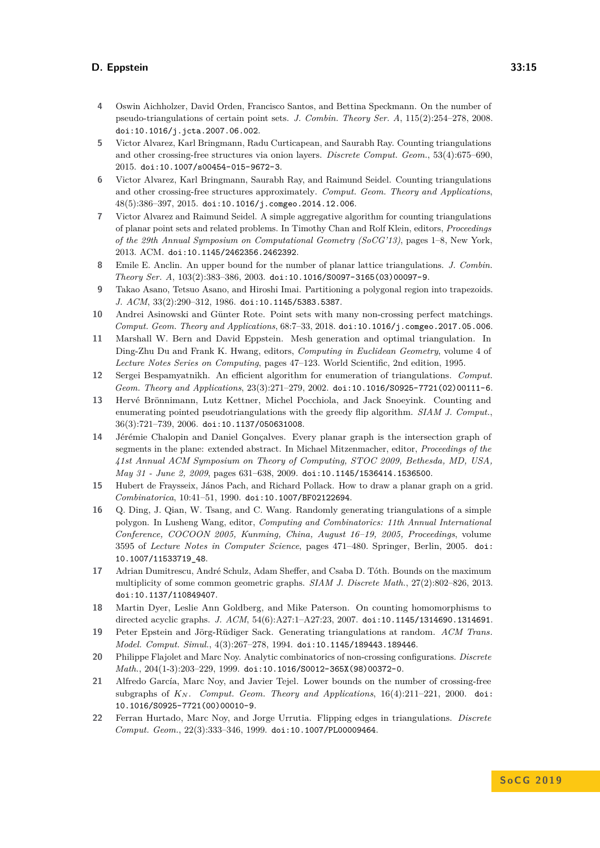- <span id="page-14-5"></span>**4** Oswin Aichholzer, David Orden, Francisco Santos, and Bettina Speckmann. On the number of pseudo-triangulations of certain point sets. *J. Combin. Theory Ser. A*, 115(2):254–278, 2008. [doi:10.1016/j.jcta.2007.06.002](http://dx.doi.org/10.1016/j.jcta.2007.06.002).
- <span id="page-14-1"></span>**5** Victor Alvarez, Karl Bringmann, Radu Curticapean, and Saurabh Ray. Counting triangulations and other crossing-free structures via onion layers. *Discrete Comput. Geom.*, 53(4):675–690, 2015. [doi:10.1007/s00454-015-9672-3](http://dx.doi.org/10.1007/s00454-015-9672-3).
- <span id="page-14-12"></span>**6** Victor Alvarez, Karl Bringmann, Saurabh Ray, and Raimund Seidel. Counting triangulations and other crossing-free structures approximately. *Comput. Geom. Theory and Applications*, 48(5):386–397, 2015. [doi:10.1016/j.comgeo.2014.12.006](http://dx.doi.org/10.1016/j.comgeo.2014.12.006).
- <span id="page-14-10"></span>**7** Victor Alvarez and Raimund Seidel. A simple aggregative algorithm for counting triangulations of planar point sets and related problems. In Timothy Chan and Rolf Klein, editors, *Proceedings of the 29th Annual Symposium on Computational Geometry (SoCG'13)*, pages 1–8, New York, 2013. ACM. [doi:10.1145/2462356.2462392](http://dx.doi.org/10.1145/2462356.2462392).
- <span id="page-14-4"></span>**8** Emile E. Anclin. An upper bound for the number of planar lattice triangulations. *J. Combin. Theory Ser. A*, 103(2):383–386, 2003. [doi:10.1016/S0097-3165\(03\)00097-9](http://dx.doi.org/10.1016/S0097-3165(03)00097-9).
- <span id="page-14-2"></span>**9** Takao Asano, Tetsuo Asano, and Hiroshi Imai. Partitioning a polygonal region into trapezoids. *J. ACM*, 33(2):290–312, 1986. [doi:10.1145/5383.5387](http://dx.doi.org/10.1145/5383.5387).
- <span id="page-14-8"></span>**10** Andrei Asinowski and Günter Rote. Point sets with many non-crossing perfect matchings. *Comput. Geom. Theory and Applications*, 68:7–33, 2018. [doi:10.1016/j.comgeo.2017.05.006](http://dx.doi.org/10.1016/j.comgeo.2017.05.006).
- <span id="page-14-15"></span>**11** Marshall W. Bern and David Eppstein. Mesh generation and optimal triangulation. In Ding-Zhu Du and Frank K. Hwang, editors, *Computing in Euclidean Geometry*, volume 4 of *Lecture Notes Series on Computing*, pages 47–123. World Scientific, 2nd edition, 1995.
- <span id="page-14-9"></span>**12** Sergei Bespamyatnikh. An efficient algorithm for enumeration of triangulations. *Comput. Geom. Theory and Applications*, 23(3):271–279, 2002. [doi:10.1016/S0925-7721\(02\)00111-6](http://dx.doi.org/10.1016/S0925-7721(02)00111-6).
- <span id="page-14-11"></span>**13** Hervé Brönnimann, Lutz Kettner, Michel Pocchiola, and Jack Snoeyink. Counting and enumerating pointed pseudotriangulations with the greedy flip algorithm. *SIAM J. Comput.*, 36(3):721–739, 2006. [doi:10.1137/050631008](http://dx.doi.org/10.1137/050631008).
- <span id="page-14-16"></span>**14** Jérémie Chalopin and Daniel Gonçalves. Every planar graph is the intersection graph of segments in the plane: extended abstract. In Michael Mitzenmacher, editor, *Proceedings of the 41st Annual ACM Symposium on Theory of Computing, STOC 2009, Bethesda, MD, USA, May 31 - June 2, 2009*, pages 631–638, 2009. [doi:10.1145/1536414.1536500](http://dx.doi.org/10.1145/1536414.1536500).
- <span id="page-14-17"></span>**15** Hubert de Fraysseix, János Pach, and Richard Pollack. How to draw a planar graph on a grid. *Combinatorica*, 10:41–51, 1990. [doi:10.1007/BF02122694](http://dx.doi.org/10.1007/BF02122694).
- <span id="page-14-14"></span>**16** Q. Ding, J. Qian, W. Tsang, and C. Wang. Randomly generating triangulations of a simple polygon. In Lusheng Wang, editor, *Computing and Combinatorics: 11th Annual International Conference, COCOON 2005, Kunming, China, August 16–19, 2005, Proceedings*, volume 3595 of *Lecture Notes in Computer Science*, pages 471–480. Springer, Berlin, 2005. [doi:](http://dx.doi.org/10.1007/11533719_48) [10.1007/11533719\\_48](http://dx.doi.org/10.1007/11533719_48).
- <span id="page-14-6"></span>**17** Adrian Dumitrescu, André Schulz, Adam Sheffer, and Csaba D. Tóth. Bounds on the maximum multiplicity of some common geometric graphs. *SIAM J. Discrete Math.*, 27(2):802–826, 2013. [doi:10.1137/110849407](http://dx.doi.org/10.1137/110849407).
- <span id="page-14-0"></span>**18** Martin Dyer, Leslie Ann Goldberg, and Mike Paterson. On counting homomorphisms to directed acyclic graphs. *J. ACM*, 54(6):A27:1–A27:23, 2007. [doi:10.1145/1314690.1314691](http://dx.doi.org/10.1145/1314690.1314691).
- <span id="page-14-13"></span>**19** Peter Epstein and Jörg-Rüdiger Sack. Generating triangulations at random. *ACM Trans. Model. Comput. Simul.*, 4(3):267–278, 1994. [doi:10.1145/189443.189446](http://dx.doi.org/10.1145/189443.189446).
- <span id="page-14-3"></span>**20** Philippe Flajolet and Marc Noy. Analytic combinatorics of non-crossing configurations. *Discrete Math.*, 204(1-3):203–229, 1999. [doi:10.1016/S0012-365X\(98\)00372-0](http://dx.doi.org/10.1016/S0012-365X(98)00372-0).
- <span id="page-14-7"></span>**21** Alfredo García, Marc Noy, and Javier Tejel. Lower bounds on the number of crossing-free subgraphs of  $K_N$ . *Comput. Geom. Theory and Applications*, 16(4):211–221, 2000. [doi:](http://dx.doi.org/10.1016/S0925-7721(00)00010-9) [10.1016/S0925-7721\(00\)00010-9](http://dx.doi.org/10.1016/S0925-7721(00)00010-9).
- <span id="page-14-18"></span>**22** Ferran Hurtado, Marc Noy, and Jorge Urrutia. Flipping edges in triangulations. *Discrete Comput. Geom.*, 22(3):333–346, 1999. [doi:10.1007/PL00009464](http://dx.doi.org/10.1007/PL00009464).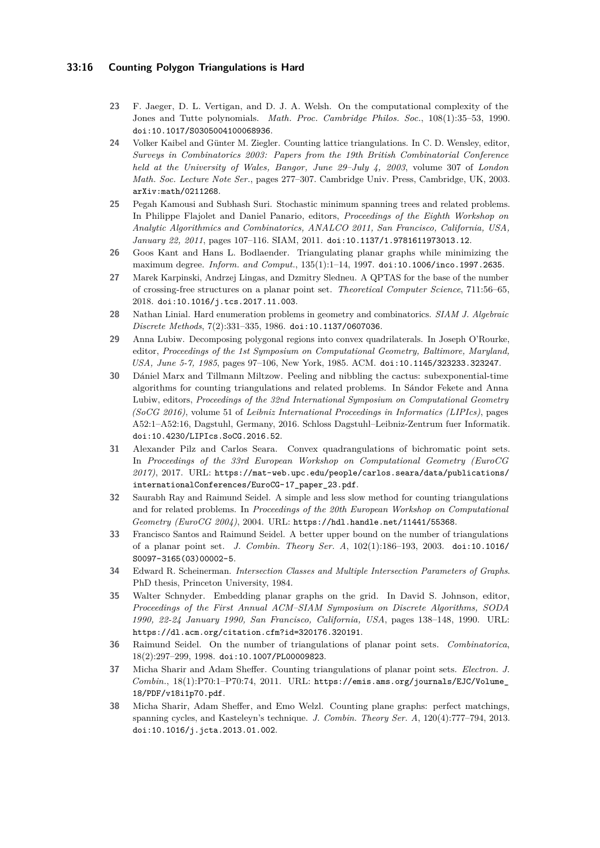#### **33:16 Counting Polygon Triangulations is Hard**

- <span id="page-15-0"></span>**23** F. Jaeger, D. L. Vertigan, and D. J. A. Welsh. On the computational complexity of the Jones and Tutte polynomials. *Math. Proc. Cambridge Philos. Soc.*, 108(1):35–53, 1990. [doi:10.1017/S0305004100068936](http://dx.doi.org/10.1017/S0305004100068936).
- <span id="page-15-6"></span>**24** Volker Kaibel and Günter M. Ziegler. Counting lattice triangulations. In C. D. Wensley, editor, *Surveys in Combinatorics 2003: Papers from the 19th British Combinatorial Conference held at the University of Wales, Bangor, June 29–July 4, 2003*, volume 307 of *London Math. Soc. Lecture Note Ser.*, pages 277–307. Cambridge Univ. Press, Cambridge, UK, 2003. [arXiv:math/0211268](http://arxiv.org/abs/math/0211268).
- <span id="page-15-2"></span>**25** Pegah Kamousi and Subhash Suri. Stochastic minimum spanning trees and related problems. In Philippe Flajolet and Daniel Panario, editors, *Proceedings of the Eighth Workshop on Analytic Algorithmics and Combinatorics, ANALCO 2011, San Francisco, California, USA, January 22, 2011*, pages 107–116. SIAM, 2011. [doi:10.1137/1.9781611973013.12](http://dx.doi.org/10.1137/1.9781611973013.12).
- <span id="page-15-5"></span>**26** Goos Kant and Hans L. Bodlaender. Triangulating planar graphs while minimizing the maximum degree. *Inform. and Comput.*, 135(1):1–14, 1997. [doi:10.1006/inco.1997.2635](http://dx.doi.org/10.1006/inco.1997.2635).
- <span id="page-15-12"></span>**27** Marek Karpinski, Andrzej Lingas, and Dzmitry Sledneu. A QPTAS for the base of the number of crossing-free structures on a planar point set. *Theoretical Computer Science*, 711:56–65, 2018. [doi:10.1016/j.tcs.2017.11.003](http://dx.doi.org/10.1016/j.tcs.2017.11.003).
- <span id="page-15-1"></span>**28** Nathan Linial. Hard enumeration problems in geometry and combinatorics. *SIAM J. Algebraic Discrete Methods*, 7(2):331–335, 1986. [doi:10.1137/0607036](http://dx.doi.org/10.1137/0607036).
- <span id="page-15-4"></span>**29** Anna Lubiw. Decomposing polygonal regions into convex quadrilaterals. In Joseph O'Rourke, editor, *Proceedings of the 1st Symposium on Computational Geometry, Baltimore, Maryland, USA, June 5-7, 1985*, pages 97–106, New York, 1985. ACM. [doi:10.1145/323233.323247](http://dx.doi.org/10.1145/323233.323247).
- <span id="page-15-11"></span>**30** Dániel Marx and Tillmann Miltzow. Peeling and nibbling the cactus: subexponential-time algorithms for counting triangulations and related problems. In Sándor Fekete and Anna Lubiw, editors, *Proceedings of the 32nd International Symposium on Computational Geometry (SoCG 2016)*, volume 51 of *Leibniz International Proceedings in Informatics (LIPIcs)*, pages A52:1–A52:16, Dagstuhl, Germany, 2016. Schloss Dagstuhl–Leibniz-Zentrum fuer Informatik. [doi:10.4230/LIPIcs.SoCG.2016.52](http://dx.doi.org/10.4230/LIPIcs.SoCG.2016.52).
- <span id="page-15-3"></span>**31** Alexander Pilz and Carlos Seara. Convex quadrangulations of bichromatic point sets. In *Proceedings of the 33rd European Workshop on Computational Geometry (EuroCG 2017)*, 2017. URL: [https://mat-web.upc.edu/people/carlos.seara/data/publications/](https://mat-web.upc.edu/people/carlos.seara/data/publications/internationalConferences/EuroCG-17_paper_23.pdf) [internationalConferences/EuroCG-17\\_paper\\_23.pdf](https://mat-web.upc.edu/people/carlos.seara/data/publications/internationalConferences/EuroCG-17_paper_23.pdf).
- <span id="page-15-13"></span>**32** Saurabh Ray and Raimund Seidel. A simple and less slow method for counting triangulations and for related problems. In *Proceedings of the 20th European Workshop on Computational Geometry (EuroCG 2004)*, 2004. URL: <https://hdl.handle.net/11441/55368>.
- <span id="page-15-9"></span>**33** Francisco Santos and Raimund Seidel. A better upper bound on the number of triangulations of a planar point set. *J. Combin. Theory Ser. A*, 102(1):186–193, 2003. [doi:10.1016/](http://dx.doi.org/10.1016/S0097-3165(03)00002-5) [S0097-3165\(03\)00002-5](http://dx.doi.org/10.1016/S0097-3165(03)00002-5).
- <span id="page-15-14"></span>**34** Edward R. Scheinerman. *Intersection Classes and Multiple Intersection Parameters of Graphs*. PhD thesis, Princeton University, 1984.
- <span id="page-15-15"></span>**35** Walter Schnyder. Embedding planar graphs on the grid. In David S. Johnson, editor, *Proceedings of the First Annual ACM–SIAM Symposium on Discrete Algorithms, SODA 1990, 22-24 January 1990, San Francisco, California, USA*, pages 138–148, 1990. URL: <https://dl.acm.org/citation.cfm?id=320176.320191>.
- <span id="page-15-10"></span>**36** Raimund Seidel. On the number of triangulations of planar point sets. *Combinatorica*, 18(2):297–299, 1998. [doi:10.1007/PL00009823](http://dx.doi.org/10.1007/PL00009823).
- <span id="page-15-7"></span>**37** Micha Sharir and Adam Sheffer. Counting triangulations of planar point sets. *Electron. J. Combin.*, 18(1):P70:1–P70:74, 2011. URL: [https://emis.ams.org/journals/EJC/Volume\\_](https://emis.ams.org/journals/EJC/Volume_18/PDF/v18i1p70.pdf) [18/PDF/v18i1p70.pdf](https://emis.ams.org/journals/EJC/Volume_18/PDF/v18i1p70.pdf).
- <span id="page-15-8"></span>**38** Micha Sharir, Adam Sheffer, and Emo Welzl. Counting plane graphs: perfect matchings, spanning cycles, and Kasteleyn's technique. *J. Combin. Theory Ser. A*, 120(4):777–794, 2013. [doi:10.1016/j.jcta.2013.01.002](http://dx.doi.org/10.1016/j.jcta.2013.01.002).